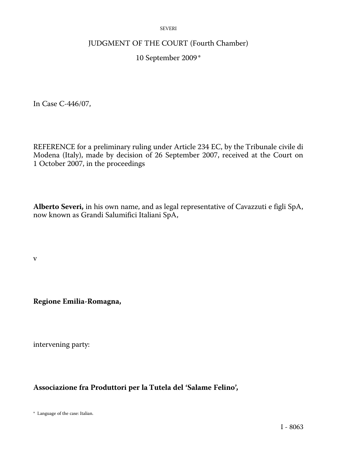#### SEVERI

### JUDGMENT OF THE COURT (Fourth Chamber)

## 10 September 2009 \*

In Case C-446/07,

REFERENCE for a preliminary ruling under Article 234 EC, by the Tribunale civile di Modena (Italy), made by decision of 26 September 2007, received at the Court on 1 October 2007, in the proceedings

**Alberto Severi,** in his own name, and as legal representative of Cavazzuti e figli SpA, now known as Grandi Salumifici Italiani SpA,

v

**Regione Emilia-Romagna,** 

intervening party:

**Associazione fra Produttori per la Tutela del 'Salame Felino',** 

\* Language of the case: Italian.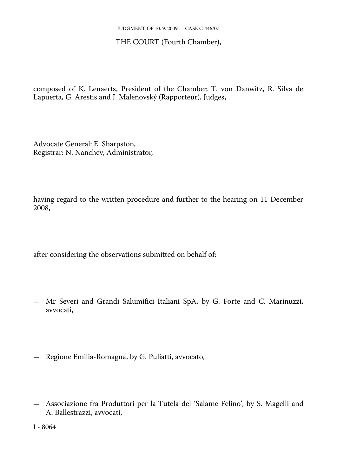## THE COURT (Fourth Chamber),

composed of K. Lenaerts, President of the Chamber, T. von Danwitz, R. Silva de Lapuerta, G. Arestis and J. Malenovský (Rapporteur), Judges,

Advocate General: E. Sharpston, Registrar: N. Nanchev, Administrator,

having regard to the written procedure and further to the hearing on 11 December 2008,

after considering the observations submitted on behalf of:

- Mr Severi and Grandi Salumifici Italiani SpA, by G. Forte and C. Marinuzzi, avvocati,
- Regione Emilia-Romagna, by G. Puliatti, avvocato,
- Associazione fra Produttori per la Tutela del 'Salame Felino', by S. Magelli and A. Ballestrazzi, avvocati,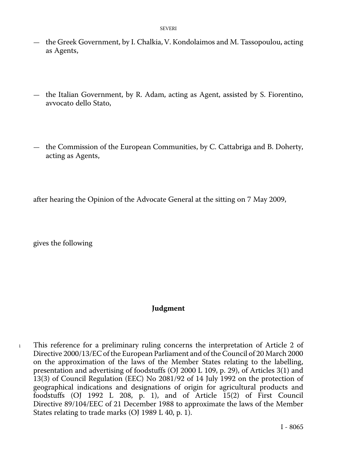- the Greek Government, by I. Chalkia, V. Kondolaimos and M. Tassopoulou, acting as Agents,
- the Italian Government, by R. Adam, acting as Agent, assisted by S. Fiorentino, avvocato dello Stato,
- the Commission of the European Communities, by C. Cattabriga and B. Doherty, acting as Agents,

after hearing the Opinion of the Advocate General at the sitting on 7 May 2009,

gives the following

### **Judgment**

1 This reference for a preliminary ruling concerns the interpretation of Article 2 of Directive 2000/13/EC of the European Parliament and of the Council of 20 March 2000 on the approximation of the laws of the Member States relating to the labelling, presentation and advertising of foodstuffs (OJ 2000 L 109, p. 29), of Articles 3(1) and 13(3) of Council Regulation (EEC) No 2081/92 of 14 July 1992 on the protection of geographical indications and designations of origin for agricultural products and foodstuffs (OJ 1992 L 208, p. 1), and of Article 15(2) of First Council Directive 89/104/EEC of 21 December 1988 to approximate the laws of the Member States relating to trade marks (OJ 1989 L 40, p. 1).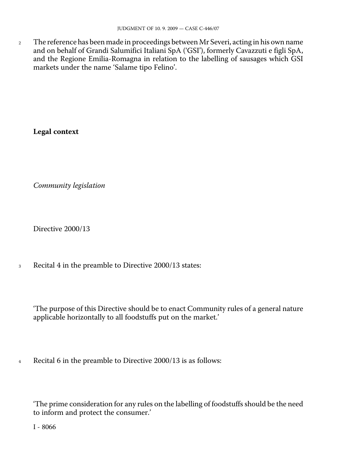<sup>2</sup> The reference has been made in proceedings between Mr Severi, acting in his own name and on behalf of Grandi Salumifici Italiani SpA ('GSI'), formerly Cavazzuti e figli SpA, and the Regione Emilia-Romagna in relation to the labelling of sausages which GSI markets under the name 'Salame tipo Felino'.

**Legal context** 

*Community legislation* 

Directive 2000/13

<sup>3</sup> Recital 4 in the preamble to Directive 2000/13 states:

'The purpose of this Directive should be to enact Community rules of a general nature applicable horizontally to all foodstuffs put on the market.'

<sup>4</sup> Recital 6 in the preamble to Directive 2000/13 is as follows:

'The prime consideration for any rules on the labelling of foodstuffs should be the need to inform and protect the consumer.'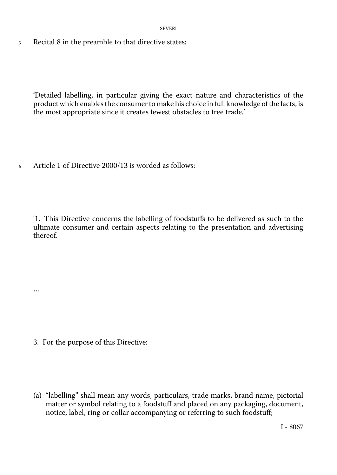5 Recital 8 in the preamble to that directive states:

'Detailed labelling, in particular giving the exact nature and characteristics of the product which enables the consumer to make his choice in full knowledge of the facts, is the most appropriate since it creates fewest obstacles to free trade.'

6 Article 1 of Directive 2000/13 is worded as follows:

'1. This Directive concerns the labelling of foodstuffs to be delivered as such to the ultimate consumer and certain aspects relating to the presentation and advertising thereof.

3. For the purpose of this Directive:

…

(a) "labelling" shall mean any words, particulars, trade marks, brand name, pictorial matter or symbol relating to a foodstuff and placed on any packaging, document, notice, label, ring or collar accompanying or referring to such foodstuff;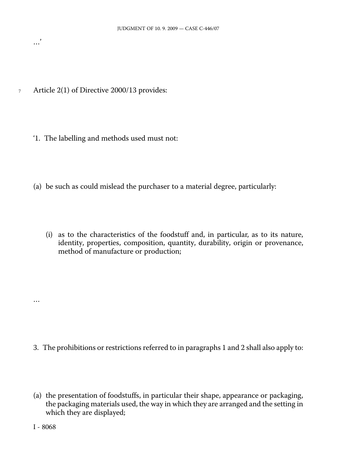7 Article 2(1) of Directive 2000/13 provides:

…'

- '1. The labelling and methods used must not:
- (a) be such as could mislead the purchaser to a material degree, particularly:
	- (i) as to the characteristics of the foodstuff and, in particular, as to its nature, identity, properties, composition, quantity, durability, origin or provenance, method of manufacture or production;

- 3. The prohibitions or restrictions referred to in paragraphs 1 and 2 shall also apply to:
- (a) the presentation of foodstuffs, in particular their shape, appearance or packaging, the packaging materials used, the way in which they are arranged and the setting in which they are displayed;

I - 8068

…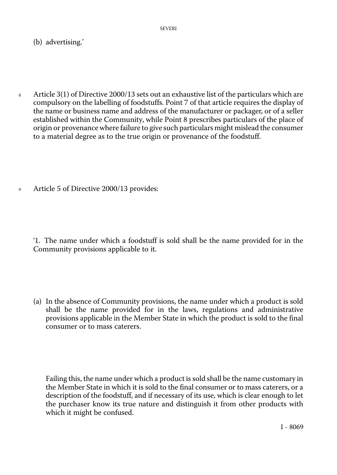(b) advertising.'

- 8 Article 3(1) of Directive 2000/13 sets out an exhaustive list of the particulars which are compulsory on the labelling of foodstuffs. Point 7 of that article requires the display of the name or business name and address of the manufacturer or packager, or of a seller established within the Community, while Point 8 prescribes particulars of the place of origin or provenance where failure to give such particulars might mislead the consumer to a material degree as to the true origin or provenance of the foodstuff.
- <sup>9</sup> Article 5 of Directive 2000/13 provides:

'1. The name under which a foodstuff is sold shall be the name provided for in the Community provisions applicable to it.

(a) In the absence of Community provisions, the name under which a product is sold shall be the name provided for in the laws, regulations and administrative provisions applicable in the Member State in which the product is sold to the final consumer or to mass caterers.

Failing this, the name under which a product is sold shall be the name customary in the Member State in which it is sold to the final consumer or to mass caterers, or a description of the foodstuff, and if necessary of its use, which is clear enough to let the purchaser know its true nature and distinguish it from other products with which it might be confused.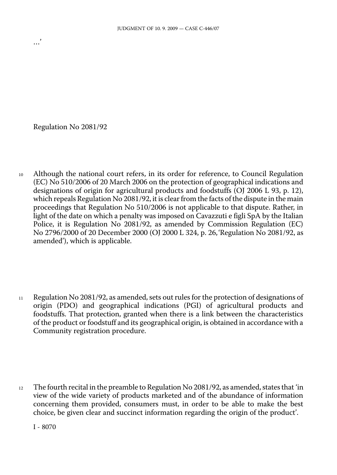Regulation No 2081/92

…'

<sup>10</sup> Although the national court refers, in its order for reference, to Council Regulation (EC) No 510/2006 of 20 March 2006 on the protection of geographical indications and designations of origin for agricultural products and foodstuffs (OJ 2006 L 93, p. 12), which repeals Regulation No 2081/92, it is clear from the facts of the dispute in the main proceedings that Regulation No 510/2006 is not applicable to that dispute. Rather, in light of the date on which a penalty was imposed on Cavazzuti e figli SpA by the Italian Police, it is Regulation No 2081/92, as amended by Commission Regulation (EC) No 2796/2000 of 20 December 2000 (OJ 2000 L 324, p. 26,'Regulation No 2081/92, as amended'), which is applicable.

- <sup>11</sup> Regulation No 2081/92, as amended, sets out rules for the protection of designations of origin (PDO) and geographical indications (PGI) of agricultural products and foodstuffs. That protection, granted when there is a link between the characteristics of the product or foodstuff and its geographical origin, is obtained in accordance with a Community registration procedure.
- <sup>12</sup> The fourth recital in the preamble to Regulation No 2081/92, as amended, states that 'in view of the wide variety of products marketed and of the abundance of information concerning them provided, consumers must, in order to be able to make the best choice, be given clear and succinct information regarding the origin of the product'.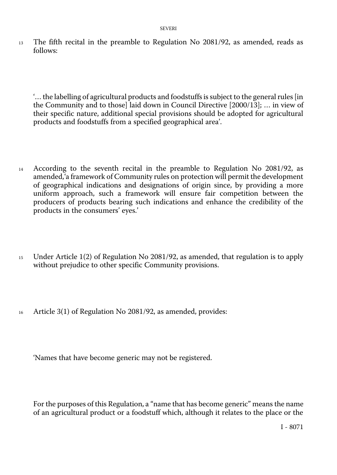<sup>13</sup> The fifth recital in the preamble to Regulation No 2081/92, as amended, reads as follows:

'… the labelling of agricultural products and foodstuffs is subject to the general rules [in the Community and to those] laid down in Council Directive [2000/13]; … in view of their specific nature, additional special provisions should be adopted for agricultural products and foodstuffs from a specified geographical area'.

- <sup>14</sup> According to the seventh recital in the preamble to Regulation No 2081/92, as amended,'a framework of Community rules on protection will permit the development of geographical indications and designations of origin since, by providing a more uniform approach, such a framework will ensure fair competition between the producers of products bearing such indications and enhance the credibility of the products in the consumers' eyes.'
- <sup>15</sup> Under Article 1(2) of Regulation No 2081/92, as amended, that regulation is to apply without prejudice to other specific Community provisions.
- <sup>16</sup> Article 3(1) of Regulation No 2081/92, as amended, provides:

'Names that have become generic may not be registered.

For the purposes of this Regulation, a "name that has become generic" means the name of an agricultural product or a foodstuff which, although it relates to the place or the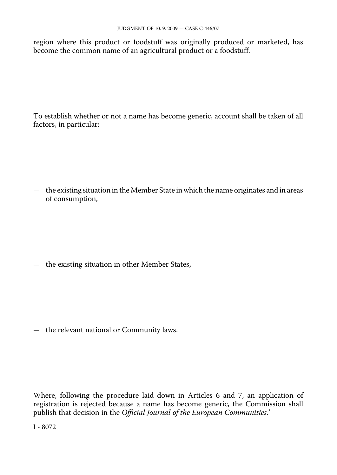region where this product or foodstuff was originally produced or marketed, has become the common name of an agricultural product or a foodstuff.

To establish whether or not a name has become generic, account shall be taken of all factors, in particular:

— the existing situation in the Member State in which the name originates and in areas of consumption,

— the existing situation in other Member States,

— the relevant national or Community laws.

Where, following the procedure laid down in Articles 6 and 7, an application of registration is rejected because a name has become generic, the Commission shall publish that decision in the *Official Journal of the European Communities*.'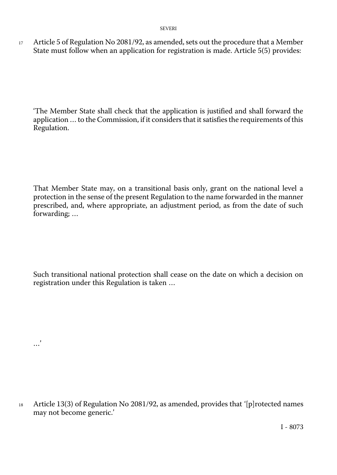17 Article 5 of Regulation No 2081/92, as amended, sets out the procedure that a Member State must follow when an application for registration is made. Article 5(5) provides:

'The Member State shall check that the application is justified and shall forward the application … to the Commission, if it considers that it satisfies the requirements of this Regulation.

That Member State may, on a transitional basis only, grant on the national level a protection in the sense of the present Regulation to the name forwarded in the manner prescribed, and, where appropriate, an adjustment period, as from the date of such forwarding; …

Such transitional national protection shall cease on the date on which a decision on registration under this Regulation is taken …

…'

Article 13(3) of Regulation No 2081/92, as amended, provides that '[p]rotected names may not become generic.' 18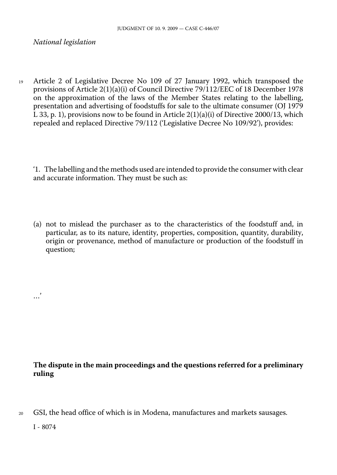### *National legislation*

<sup>19</sup> Article 2 of Legislative Decree No 109 of 27 January 1992, which transposed the provisions of Article 2(1)(a)(i) of Council Directive 79/112/EEC of 18 December 1978 on the approximation of the laws of the Member States relating to the labelling, presentation and advertising of foodstuffs for sale to the ultimate consumer (OJ 1979 L 33, p. 1), provisions now to be found in Article  $2(1)(a)(i)$  of Directive 2000/13, which repealed and replaced Directive 79/112 ('Legislative Decree No 109/92'), provides:

'1. The labelling and the methods used are intended to provide the consumer with clear and accurate information. They must be such as:

(a) not to mislead the purchaser as to the characteristics of the foodstuff and, in particular, as to its nature, identity, properties, composition, quantity, durability, origin or provenance, method of manufacture or production of the foodstuff in question;

## **The dispute in the main proceedings and the questions referred for a preliminary ruling**

<sup>20</sup> GSI, the head office of which is in Modena, manufactures and markets sausages.

I - 8074

…'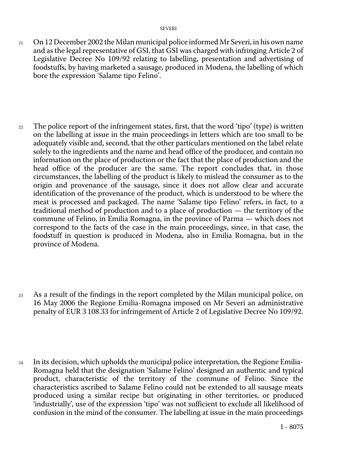- 21 On 12 December 2002 the Milan municipal police informed Mr Severi, in his own name and as the legal representative of GSI, that GSI was charged with infringing Article 2 of Legislative Decree No 109/92 relating to labelling, presentation and advertising of foodstuffs, by having marketed a sausage, produced in Modena, the labelling of which bore the expression 'Salame tipo Felino'.
- 22 The police report of the infringement states, first, that the word 'tipo' (type) is written on the labelling at issue in the main proceedings in letters which are too small to be adequately visible and, second, that the other particulars mentioned on the label relate solely to the ingredients and the name and head office of the producer, and contain no information on the place of production or the fact that the place of production and the head office of the producer are the same. The report concludes that, in those circumstances, the labelling of the product is likely to mislead the consumer as to the origin and provenance of the sausage, since it does not allow clear and accurate identification of the provenance of the product, which is understood to be where the meat is processed and packaged. The name 'Salame tipo Felino' refers, in fact, to a traditional method of production and to a place of production — the territory of the commune of Felino, in Emilia Romagna, in the province of Parma — which does not correspond to the facts of the case in the main proceedings, since, in that case, the foodstuff in question is produced in Modena, also in Emilia Romagna, but in the province of Modena.
- $2<sub>3</sub>$ As a result of the findings in the report completed by the Milan municipal police, on 16 May 2006 the Regione Emilia-Romagna imposed on Mr Severi an administrative penalty of EUR 3 108.33 for infringement of Article 2 of Legislative Decree No 109/92.
- $24$ In its decision, which upholds the municipal police interpretation, the Regione Emilia-Romagna held that the designation 'Salame Felino' designed an authentic and typical product, characteristic of the territory of the commune of Felino. Since the characteristics ascribed to Salame Felino could not be extended to all sausage meats produced using a similar recipe but originating in other territories, or produced 'industrially', use of the expression 'tipo' was not sufficient to exclude all likelihood of confusion in the mind of the consumer. The labelling at issue in the main proceedings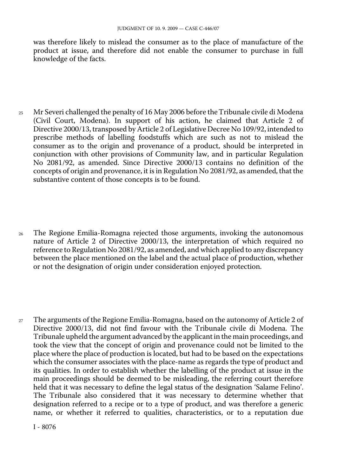was therefore likely to mislead the consumer as to the place of manufacture of the product at issue, and therefore did not enable the consumer to purchase in full knowledge of the facts.

- 25 Mr Severi challenged the penalty of 16 May 2006 before the Tribunale civile di Modena (Civil Court, Modena). In support of his action, he claimed that Article 2 of Directive 2000/13, transposed by Article 2 of Legislative Decree No 109/92, intended to prescribe methods of labelling foodstuffs which are such as not to mislead the consumer as to the origin and provenance of a product, should be interpreted in conjunction with other provisions of Community law, and in particular Regulation No 2081/92, as amended. Since Directive 2000/13 contains no definition of the concepts of origin and provenance, it is in Regulation No 2081/92, as amended, that the substantive content of those concepts is to be found.
- 26 The Regione Emilia-Romagna rejected those arguments, invoking the autonomous nature of Article 2 of Directive 2000/13, the interpretation of which required no reference to Regulation No 2081/92, as amended, and which applied to any discrepancy between the place mentioned on the label and the actual place of production, whether or not the designation of origin under consideration enjoyed protection.
- 27 The arguments of the Regione Emilia-Romagna, based on the autonomy of Article 2 of Directive 2000/13, did not find favour with the Tribunale civile di Modena. The Tribunale upheld the argument advanced by the applicant in the main proceedings, and took the view that the concept of origin and provenance could not be limited to the place where the place of production is located, but had to be based on the expectations which the consumer associates with the place-name as regards the type of product and its qualities. In order to establish whether the labelling of the product at issue in the main proceedings should be deemed to be misleading, the referring court therefore held that it was necessary to define the legal status of the designation 'Salame Felino'. The Tribunale also considered that it was necessary to determine whether that designation referred to a recipe or to a type of product, and was therefore a generic name, or whether it referred to qualities, characteristics, or to a reputation due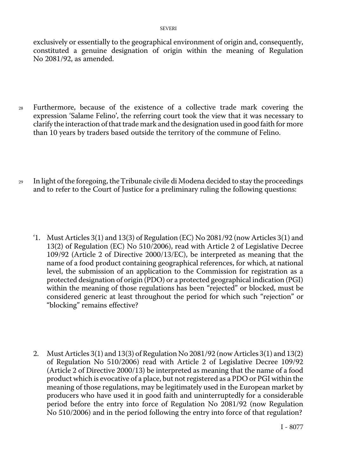exclusively or essentially to the geographical environment of origin and, consequently, constituted a genuine designation of origin within the meaning of Regulation No 2081/92, as amended.

- <sup>28</sup> Furthermore, because of the existence of a collective trade mark covering the expression 'Salame Felino', the referring court took the view that it was necessary to clarify the interaction of that trade mark and the designation used in good faith for more than 10 years by traders based outside the territory of the commune of Felino.
- <sup>29</sup> In light of the foregoing, theTribunale civile di Modena decided to stay the proceedings and to refer to the Court of Justice for a preliminary ruling the following questions:
	- '1. Must Articles 3(1) and 13(3) of Regulation (EC) No 2081/92 (now Articles 3(1) and 13(2) of Regulation (EC) No 510/2006), read with Article 2 of Legislative Decree 109/92 (Article 2 of Directive 2000/13/EC), be interpreted as meaning that the name of a food product containing geographical references, for which, at national level, the submission of an application to the Commission for registration as a protected designation of origin (PDO) or a protected geographical indication (PGI) within the meaning of those regulations has been "rejected" or blocked, must be considered generic at least throughout the period for which such "rejection" or "blocking" remains effective?
	- 2. Must Articles 3(1) and 13(3) of Regulation No 2081/92 (now Articles 3(1) and 13(2) of Regulation No 510/2006) read with Article 2 of Legislative Decree 109/92 (Article 2 of Directive 2000/13) be interpreted as meaning that the name of a food product which is evocative of a place, but not registered as a PDO or PGI within the meaning of those regulations, may be legitimately used in the European market by producers who have used it in good faith and uninterruptedly for a considerable period before the entry into force of Regulation No 2081/92 (now Regulation No 510/2006) and in the period following the entry into force of that regulation?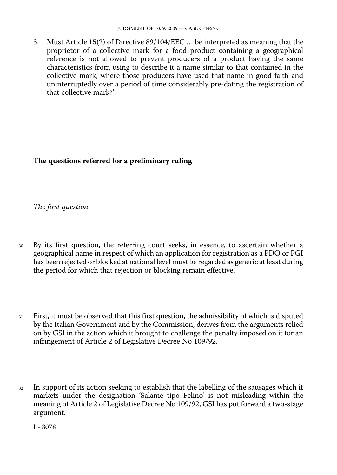3. Must Article 15(2) of Directive 89/104/EEC … be interpreted as meaning that the proprietor of a collective mark for a food product containing a geographical reference is not allowed to prevent producers of a product having the same characteristics from using to describe it a name similar to that contained in the collective mark, where those producers have used that name in good faith and uninterruptedly over a period of time considerably pre-dating the registration of that collective mark?'

# **The questions referred for a preliminary ruling**

*The first question* 

- <sup>30</sup> By its first question, the referring court seeks, in essence, to ascertain whether a geographical name in respect of which an application for registration as a PDO or PGI has been rejected or blocked at national level must be regarded as generic at least during the period for which that rejection or blocking remain effective.
- <sup>31</sup> First, it must be observed that this first question, the admissibility of which is disputed by the Italian Government and by the Commission, derives from the arguments relied on by GSI in the action which it brought to challenge the penalty imposed on it for an infringement of Article 2 of Legislative Decree No 109/92.
- <sup>32</sup> In support of its action seeking to establish that the labelling of the sausages which it markets under the designation 'Salame tipo Felino' is not misleading within the meaning of Article 2 of Legislative Decree No 109/92, GSI has put forward a two-stage argument.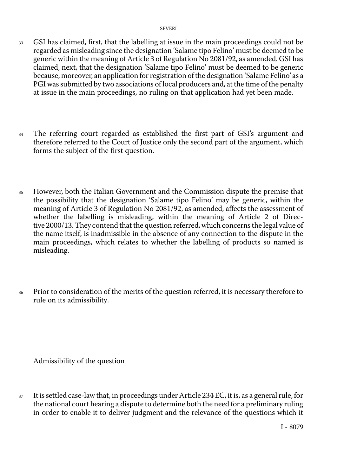- <sup>33</sup> GSI has claimed, first, that the labelling at issue in the main proceedings could not be regarded as misleading since the designation 'Salame tipo Felino' must be deemed to be generic within the meaning of Article 3 of Regulation No 2081/92, as amended. GSI has claimed, next, that the designation 'Salame tipo Felino' must be deemed to be generic because, moreover, an application for registration of the designation 'Salame Felino' as a PGI was submitted by two associations of local producers and, at the time of the penalty at issue in the main proceedings, no ruling on that application had yet been made.
- <sup>34</sup> The referring court regarded as established the first part of GSI's argument and therefore referred to the Court of Justice only the second part of the argument, which forms the subject of the first question.
- <sup>35</sup> However, both the Italian Government and the Commission dispute the premise that the possibility that the designation 'Salame tipo Felino' may be generic, within the meaning of Article 3 of Regulation No 2081/92, as amended, affects the assessment of whether the labelling is misleading, within the meaning of Article 2 of Directive 2000/13. They contend that the question referred, which concerns the legal value of the name itself, is inadmissible in the absence of any connection to the dispute in the main proceedings, which relates to whether the labelling of products so named is misleading.
- 36 Prior to consideration of the merits of the question referred, it is necessary therefore to rule on its admissibility.

Admissibility of the question

<sup>37</sup> It is settled case-law that, in proceedings under Article 234 EC, it is, as a general rule, for the national court hearing a dispute to determine both the need for a preliminary ruling in order to enable it to deliver judgment and the relevance of the questions which it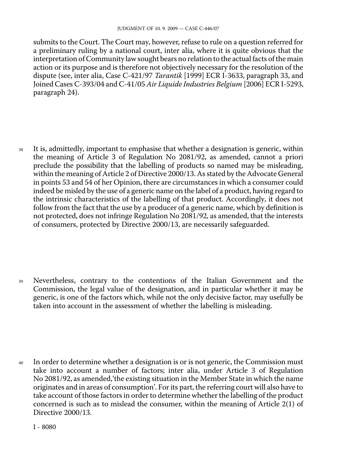submits to the Court. The Court may, however, refuse to rule on a question referred for a preliminary ruling by a national court, inter alia, where it is quite obvious that the interpretation of Community law sought bears no relation to the actual facts of the main action or its purpose and is therefore not objectively necessary for the resolution of the dispute (see, inter alia, Case C-421/97 *Tarantik* [1999] ECR I-3633, paragraph 33, and Joined Cases C-393/04 and C-41/05 *Air Liquide Industries Belgium* [2006] ECR I-5293, paragraph 24).

<sup>38</sup> It is, admittedly, important to emphasise that whether a designation is generic, within the meaning of Article 3 of Regulation No 2081/92, as amended, cannot a priori preclude the possibility that the labelling of products so named may be misleading, within the meaning of Article 2 of Directive 2000/13. As stated by the Advocate General in points 53 and 54 of her Opinion, there are circumstances in which a consumer could indeed be misled by the use of a generic name on the label of a product, having regard to the intrinsic characteristics of the labelling of that product. Accordingly, it does not follow from the fact that the use by a producer of a generic name, which by definition is not protected, does not infringe Regulation No 2081/92, as amended, that the interests of consumers, protected by Directive 2000/13, are necessarily safeguarded.

- <sup>39</sup> Nevertheless, contrary to the contentions of the Italian Government and the Commission, the legal value of the designation, and in particular whether it may be generic, is one of the factors which, while not the only decisive factor, may usefully be taken into account in the assessment of whether the labelling is misleading.
- <sup>40</sup> In order to determine whether a designation is or is not generic, the Commission must take into account a number of factors; inter alia, under Article 3 of Regulation No 2081/92, as amended,'the existing situation in the Member State in which the name originates and in areas of consumption'. For its part, the referring court will also have to take account of those factors in order to determine whether the labelling of the product concerned is such as to mislead the consumer, within the meaning of Article 2(1) of Directive 2000/13.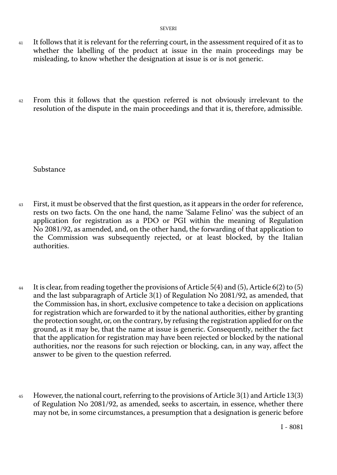- 41 It follows that it is relevant for the referring court, in the assessment required of it as to whether the labelling of the product at issue in the main proceedings may be misleading, to know whether the designation at issue is or is not generic.
- <sup>42</sup> From this it follows that the question referred is not obviously irrelevant to the resolution of the dispute in the main proceedings and that it is, therefore, admissible.

Substance

- <sup>43</sup> First, it must be observed that the first question, as it appears in the order for reference, rests on two facts. On the one hand, the name 'Salame Felino' was the subject of an application for registration as a PDO or PGI within the meaning of Regulation No 2081/92, as amended, and, on the other hand, the forwarding of that application to the Commission was subsequently rejected, or at least blocked, by the Italian authorities.
- <sup>44</sup> It is clear, from reading together the provisions of Article 5(4) and (5), Article 6(2) to (5) and the last subparagraph of Article 3(1) of Regulation No 2081/92, as amended, that the Commission has, in short, exclusive competence to take a decision on applications for registration which are forwarded to it by the national authorities, either by granting the protection sought, or, on the contrary, by refusing the registration applied for on the ground, as it may be, that the name at issue is generic. Consequently, neither the fact that the application for registration may have been rejected or blocked by the national authorities, nor the reasons for such rejection or blocking, can, in any way, affect the answer to be given to the question referred.
- 45 However, the national court, referring to the provisions of Article  $3(1)$  and Article  $13(3)$ of Regulation No 2081/92, as amended, seeks to ascertain, in essence, whether there may not be, in some circumstances, a presumption that a designation is generic before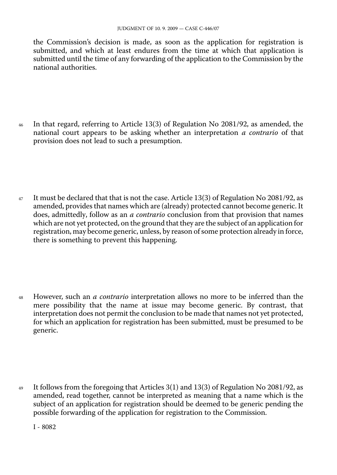the Commission's decision is made, as soon as the application for registration is submitted, and which at least endures from the time at which that application is submitted until the time of any forwarding of the application to the Commission by the national authorities.

<sup>46</sup> In that regard, referring to Article 13(3) of Regulation No 2081/92, as amended, the national court appears to be asking whether an interpretation *a contrario* of that provision does not lead to such a presumption.

47 It must be declared that that is not the case. Article 13(3) of Regulation No 2081/92, as amended, provides that names which are (already) protected cannot become generic. It does, admittedly, follow as an *a contrario* conclusion from that provision that names which are not yet protected, on the ground that they are the subject of an application for registration, may become generic, unless, by reason of some protection already in force, there is something to prevent this happening.

<sup>48</sup> However, such an *a contrario* interpretation allows no more to be inferred than the mere possibility that the name at issue may become generic. By contrast, that interpretation does not permit the conclusion to be made that names not yet protected, for which an application for registration has been submitted, must be presumed to be generic.

<sup>49</sup> It follows from the foregoing that Articles 3(1) and 13(3) of Regulation No 2081/92, as amended, read together, cannot be interpreted as meaning that a name which is the subject of an application for registration should be deemed to be generic pending the possible forwarding of the application for registration to the Commission.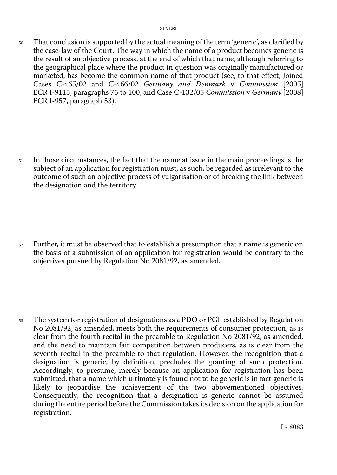<sup>50</sup> That conclusion is supported by the actual meaning of the term 'generic', as clarified by the case-law of the Court. The way in which the name of a product becomes generic is the result of an objective process, at the end of which that name, although referring to the geographical place where the product in question was originally manufactured or marketed, has become the common name of that product (see, to that effect, Joined Cases C-465/02 and C-466/02 *Germany and Denmark* v *Commission* [2005] ECR I-9115, paragraphs 75 to 100, and Case C-132/05 *Commission* v *Germany* [2008] ECR I-957, paragraph 53).

<sup>51</sup> In those circumstances, the fact that the name at issue in the main proceedings is the subject of an application for registration must, as such, be regarded as irrelevant to the outcome of such an objective process of vulgarisation or of breaking the link between the designation and the territory.

<sup>52</sup> Further, it must be observed that to establish a presumption that a name is generic on the basis of a submission of an application for registration would be contrary to the objectives pursued by Regulation No 2081/92, as amended.

<sup>53</sup> The system for registration of designations as a PDO or PGI, established by Regulation No 2081/92, as amended, meets both the requirements of consumer protection, as is clear from the fourth recital in the preamble to Regulation No 2081/92, as amended, and the need to maintain fair competition between producers, as is clear from the seventh recital in the preamble to that regulation. However, the recognition that a designation is generic, by definition, precludes the granting of such protection. Accordingly, to presume, merely because an application for registration has been submitted, that a name which ultimately is found not to be generic is in fact generic is likely to jeopardise the achievement of the two abovementioned objectives. Consequently, the recognition that a designation is generic cannot be assumed during the entire period before the Commission takes its decision on the application for registration.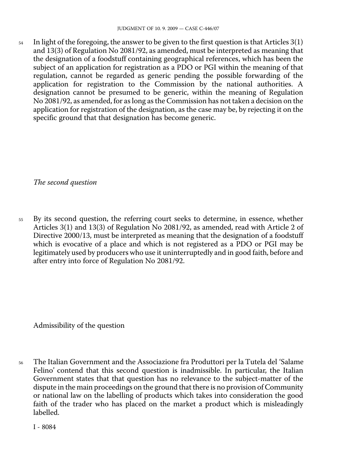$54$  In light of the foregoing, the answer to be given to the first question is that Articles 3(1) and 13(3) of Regulation No 2081/92, as amended, must be interpreted as meaning that the designation of a foodstuff containing geographical references, which has been the subject of an application for registration as a PDO or PGI within the meaning of that regulation, cannot be regarded as generic pending the possible forwarding of the application for registration to the Commission by the national authorities. A designation cannot be presumed to be generic, within the meaning of Regulation No 2081/92, as amended, for as long as the Commission has not taken a decision on the application for registration of the designation, as the case may be, by rejecting it on the specific ground that that designation has become generic.

*The second question* 

<sup>55</sup> By its second question, the referring court seeks to determine, in essence, whether Articles 3(1) and 13(3) of Regulation No 2081/92, as amended, read with Article 2 of Directive 2000/13, must be interpreted as meaning that the designation of a foodstuff which is evocative of a place and which is not registered as a PDO or PGI may be legitimately used by producers who use it uninterruptedly and in good faith, before and after entry into force of Regulation No 2081/92.

Admissibility of the question

<sup>56</sup> The Italian Government and the Associazione fra Produttori per la Tutela del 'Salame Felino' contend that this second question is inadmissible. In particular, the Italian Government states that that question has no relevance to the subject-matter of the dispute in the main proceedings on the ground that there is no provision of Community or national law on the labelling of products which takes into consideration the good faith of the trader who has placed on the market a product which is misleadingly labelled.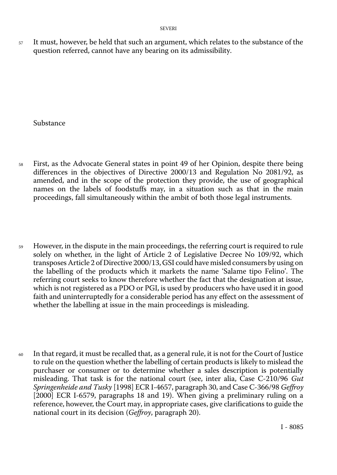57 It must, however, be held that such an argument, which relates to the substance of the question referred, cannot have any bearing on its admissibility.

Substance

- <sup>58</sup> First, as the Advocate General states in point 49 of her Opinion, despite there being differences in the objectives of Directive 2000/13 and Regulation No 2081/92, as amended, and in the scope of the protection they provide, the use of geographical names on the labels of foodstuffs may, in a situation such as that in the main proceedings, fall simultaneously within the ambit of both those legal instruments.
- <sup>59</sup> However, in the dispute in the main proceedings, the referring court is required to rule solely on whether, in the light of Article 2 of Legislative Decree No 109/92, which transposes Article 2 of Directive 2000/13, GSI could have misled consumers by using on the labelling of the products which it markets the name 'Salame tipo Felino'. The referring court seeks to know therefore whether the fact that the designation at issue, which is not registered as a PDO or PGI, is used by producers who have used it in good faith and uninterruptedly for a considerable period has any effect on the assessment of whether the labelling at issue in the main proceedings is misleading.
- $60$  In that regard, it must be recalled that, as a general rule, it is not for the Court of Justice to rule on the question whether the labelling of certain products is likely to mislead the purchaser or consumer or to determine whether a sales description is potentially misleading. That task is for the national court (see, inter alia, Case C-210/96 *Gut Springenheide and Tusky* [1998] ECR I-4657, paragraph 30, and Case C-366/98 *Geffroy* [2000] ECR I-6579, paragraphs 18 and 19). When giving a preliminary ruling on a reference, however, the Court may, in appropriate cases, give clarifications to guide the national court in its decision (*Geffroy*, paragraph 20).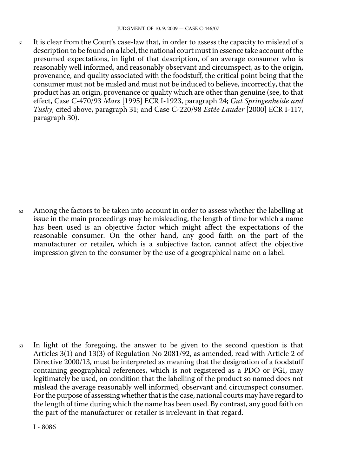<sup>61</sup> It is clear from the Court's case-law that, in order to assess the capacity to mislead of a description to be found on a label, the national court must in essence take account of the presumed expectations, in light of that description, of an average consumer who is reasonably well informed, and reasonably observant and circumspect, as to the origin, provenance, and quality associated with the foodstuff, the critical point being that the consumer must not be misled and must not be induced to believe, incorrectly, that the product has an origin, provenance or quality which are other than genuine (see, to that effect, Case C-470/93 *Mars* [1995] ECR I-1923, paragraph 24; *Gut Springenheide and Tusky*, cited above, paragraph 31; and Case C-220/98 *Estée Lauder* [2000] ECR I-117, paragraph 30).

<sup>62</sup> Among the factors to be taken into account in order to assess whether the labelling at issue in the main proceedings may be misleading, the length of time for which a name has been used is an objective factor which might affect the expectations of the reasonable consumer. On the other hand, any good faith on the part of the manufacturer or retailer, which is a subjective factor, cannot affect the objective impression given to the consumer by the use of a geographical name on a label.

<sup>63</sup> In light of the foregoing, the answer to be given to the second question is that Articles 3(1) and 13(3) of Regulation No 2081/92, as amended, read with Article 2 of Directive 2000/13, must be interpreted as meaning that the designation of a foodstuff containing geographical references, which is not registered as a PDO or PGI, may legitimately be used, on condition that the labelling of the product so named does not mislead the average reasonably well informed, observant and circumspect consumer. For the purpose of assessing whether that is the case, national courts may have regard to the length of time during which the name has been used. By contrast, any good faith on the part of the manufacturer or retailer is irrelevant in that regard.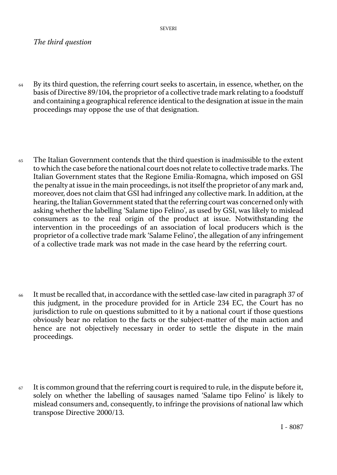SEVERI

## *The third question*

- <sup>64</sup> By its third question, the referring court seeks to ascertain, in essence, whether, on the basis of Directive 89/104, the proprietor of a collective trade mark relating to a foodstuff and containing a geographical reference identical to the designation at issue in the main proceedings may oppose the use of that designation.
- <sup>65</sup> The Italian Government contends that the third question is inadmissible to the extent to which the case before the national court does not relate to collective trade marks. The Italian Government states that the Regione Emilia-Romagna, which imposed on GSI the penalty at issue in the main proceedings, is not itself the proprietor of any mark and, moreover, does not claim that GSI had infringed any collective mark. In addition, at the hearing, the Italian Government stated that the referring court was concerned only with asking whether the labelling 'Salame tipo Felino', as used by GSI, was likely to mislead consumers as to the real origin of the product at issue. Notwithstanding the intervention in the proceedings of an association of local producers which is the proprietor of a collective trade mark 'Salame Felino', the allegation of any infringement of a collective trade mark was not made in the case heard by the referring court.
- <sup>66</sup> It must be recalled that, in accordance with the settled case-law cited in paragraph 37 of this judgment, in the procedure provided for in Article 234 EC, the Court has no jurisdiction to rule on questions submitted to it by a national court if those questions obviously bear no relation to the facts or the subject-matter of the main action and hence are not objectively necessary in order to settle the dispute in the main proceedings.
- $67$  It is common ground that the referring court is required to rule, in the dispute before it, solely on whether the labelling of sausages named 'Salame tipo Felino' is likely to mislead consumers and, consequently, to infringe the provisions of national law which transpose Directive 2000/13.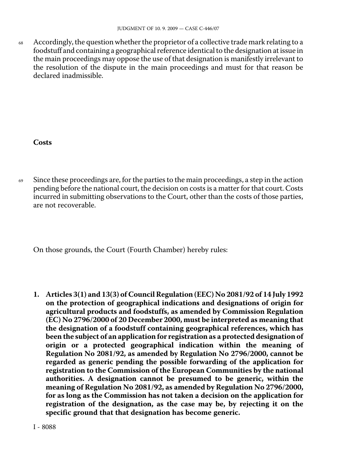68 Accordingly, the question whether the proprietor of a collective trade mark relating to a foodstuff and containing a geographical reference identical to the designation at issue in the main proceedings may oppose the use of that designation is manifestly irrelevant to the resolution of the dispute in the main proceedings and must for that reason be declared inadmissible.

### **Costs**

69 Since these proceedings are, for the parties to the main proceedings, a step in the action pending before the national court, the decision on costs is a matter for that court. Costs incurred in submitting observations to the Court, other than the costs of those parties, are not recoverable.

On those grounds, the Court (Fourth Chamber) hereby rules:

**1. Articles 3(1) and 13(3) of Council Regulation (EEC) No 2081/92 of 14 July 1992 on the protection of geographical indications and designations of origin for agricultural products and foodstuffs, as amended by Commission Regulation (EC) No 2796/2000 of 20 December 2000, must be interpreted as meaning that the designation of a foodstuff containing geographical references, which has been the subject of an application for registration as a protected designation of origin or a protected geographical indication within the meaning of Regulation No 2081/92, as amended by Regulation No 2796/2000, cannot be regarded as generic pending the possible forwarding of the application for registration to the Commission of the European Communities by the national authorities. A designation cannot be presumed to be generic, within the meaning of Regulation No 2081/92, as amended by Regulation No 2796/2000, for as long as the Commission has not taken a decision on the application for registration of the designation, as the case may be, by rejecting it on the specific ground that that designation has become generic.**